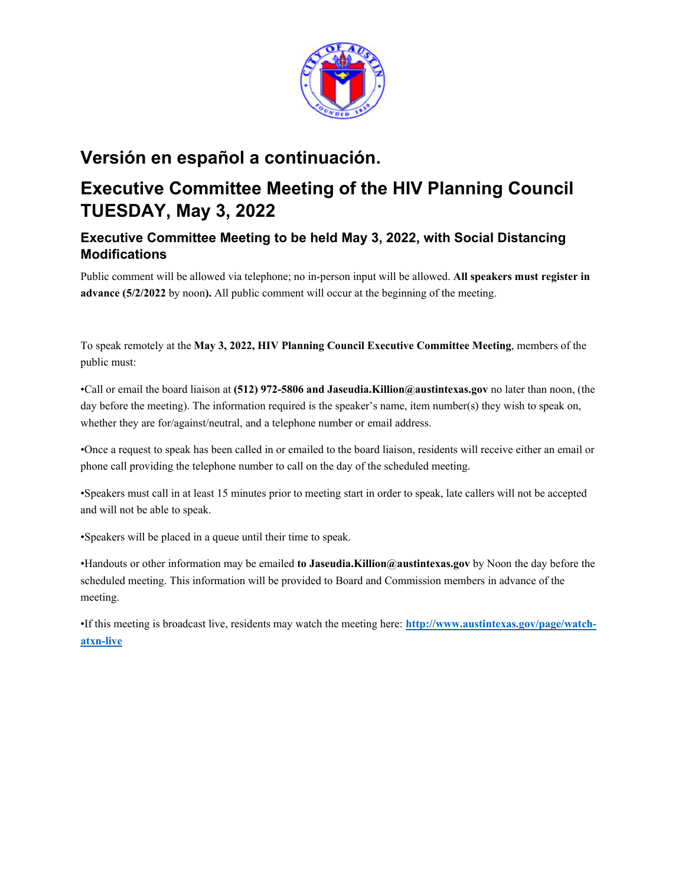

# **Versión en español a continuación.**

# **Executive Committee Meeting of the HIV Planning Council TUESDAY, May 3, 2022**

# **Executive Committee Meeting to be held May 3, 2022, with Social Distancing Modifications**

Public comment will be allowed via telephone; no in-person input will be allowed. **All speakers must register in advance (5/2/2022** by noon**).** All public comment will occur at the beginning of the meeting.

To speak remotely at the **May 3, 2022, HIV Planning Council Executive Committee Meeting**, members of the public must:

•Call or email the board liaison at **(512) 972-5806 and Jaseudia.Killion@austintexas.gov** no later than noon, (the day before the meeting). The information required is the speaker's name, item number(s) they wish to speak on, whether they are for/against/neutral, and a telephone number or email address.

•Once a request to speak has been called in or emailed to the board liaison, residents will receive either an email or phone call providing the telephone number to call on the day of the scheduled meeting.

•Speakers must call in at least 15 minutes prior to meeting start in order to speak, late callers will not be accepted and will not be able to speak.

•Speakers will be placed in a queue until their time to speak.

•Handouts or other information may be emailed **to Jaseudia.Killion@austintexas.gov** by Noon the day before the scheduled meeting. This information will be provided to Board and Commission members in advance of the meeting.

•If this meeting is broadcast live, residents may watch the meeting here: **http://www.austintexas.gov/page/watchatxn-live**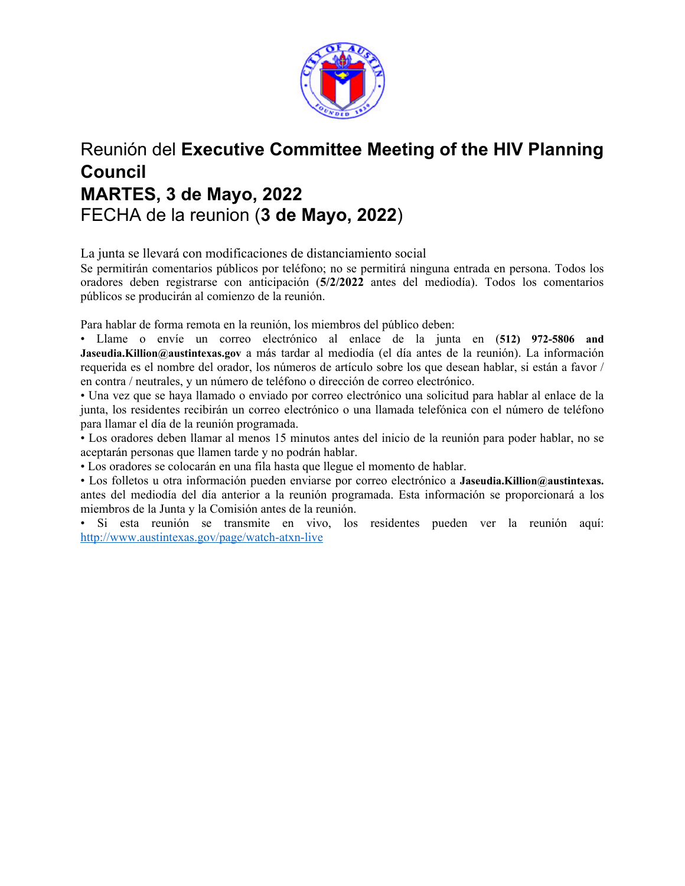

# Reunión del **Executive Committee Meeting of the HIV Planning Council MARTES, 3 de Mayo, 2022**  FECHA de la reunion (**3 de Mayo, 2022**)

La junta se llevará con modificaciones de distanciamiento social

Se permitirán comentarios públicos por teléfono; no se permitirá ninguna entrada en persona. Todos los oradores deben registrarse con anticipación (**5/2/2022** antes del mediodía). Todos los comentarios públicos se producirán al comienzo de la reunión.

Para hablar de forma remota en la reunión, los miembros del público deben:

• Llame o envíe un correo electrónico al enlace de la junta en (**512) 972-5806 and Jaseudia.Killion@austintexas.gov** a más tardar al mediodía (el día antes de la reunión). La información requerida es el nombre del orador, los números de artículo sobre los que desean hablar, si están a favor / en contra / neutrales, y un número de teléfono o dirección de correo electrónico.

• Una vez que se haya llamado o enviado por correo electrónico una solicitud para hablar al enlace de la junta, los residentes recibirán un correo electrónico o una llamada telefónica con el número de teléfono para llamar el día de la reunión programada.

• Los oradores deben llamar al menos 15 minutos antes del inicio de la reunión para poder hablar, no se aceptarán personas que llamen tarde y no podrán hablar.

• Los oradores se colocarán en una fila hasta que llegue el momento de hablar.

• Los folletos u otra información pueden enviarse por correo electrónico a **Jaseudia.Killion@austintexas.** antes del mediodía del día anterior a la reunión programada. Esta información se proporcionará a los miembros de la Junta y la Comisión antes de la reunión.

• Si esta reunión se transmite en vivo, los residentes pueden ver la reunión aquí: http://www.austintexas.gov/page/watch-atxn-live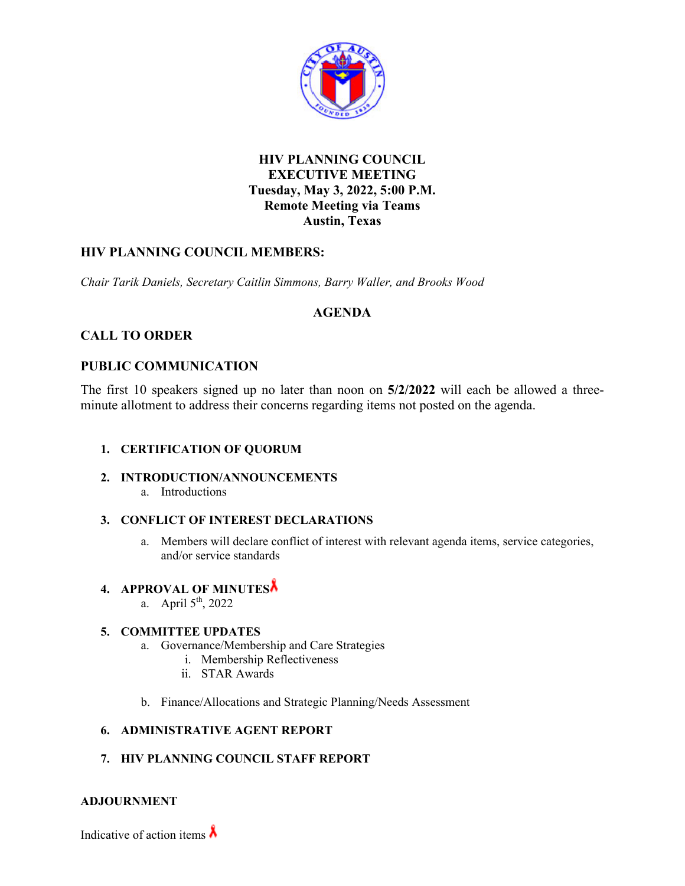

## **HIV PLANNING COUNCIL EXECUTIVE MEETING Tuesday, May 3, 2022, 5:00 P.M. Remote Meeting via Teams Austin, Texas**

## **HIV PLANNING COUNCIL MEMBERS:**

*Chair Tarik Daniels, Secretary Caitlin Simmons, Barry Waller, and Brooks Wood* 

## **AGENDA**

## **CALL TO ORDER**

## **PUBLIC COMMUNICATION**

The first 10 speakers signed up no later than noon on **5/2/2022** will each be allowed a threeminute allotment to address their concerns regarding items not posted on the agenda.

### **1. CERTIFICATION OF QUORUM**

### **2. INTRODUCTION/ANNOUNCEMENTS**

a. Introductions

### **3. CONFLICT OF INTEREST DECLARATIONS**

a. Members will declare conflict of interest with relevant agenda items, service categories, and/or service standards

# **4. APPROVAL OF MINUTES**

a. April  $5<sup>th</sup>$ , 2022

### **5. COMMITTEE UPDATES**

- a. Governance/Membership and Care Strategies
	- i. Membership Reflectiveness
	- ii. STAR Awards
- b. Finance/Allocations and Strategic Planning/Needs Assessment

### **6. ADMINISTRATIVE AGENT REPORT**

### **7. HIV PLANNING COUNCIL STAFF REPORT**

### **ADJOURNMENT**

Indicative of action items  $\lambda$